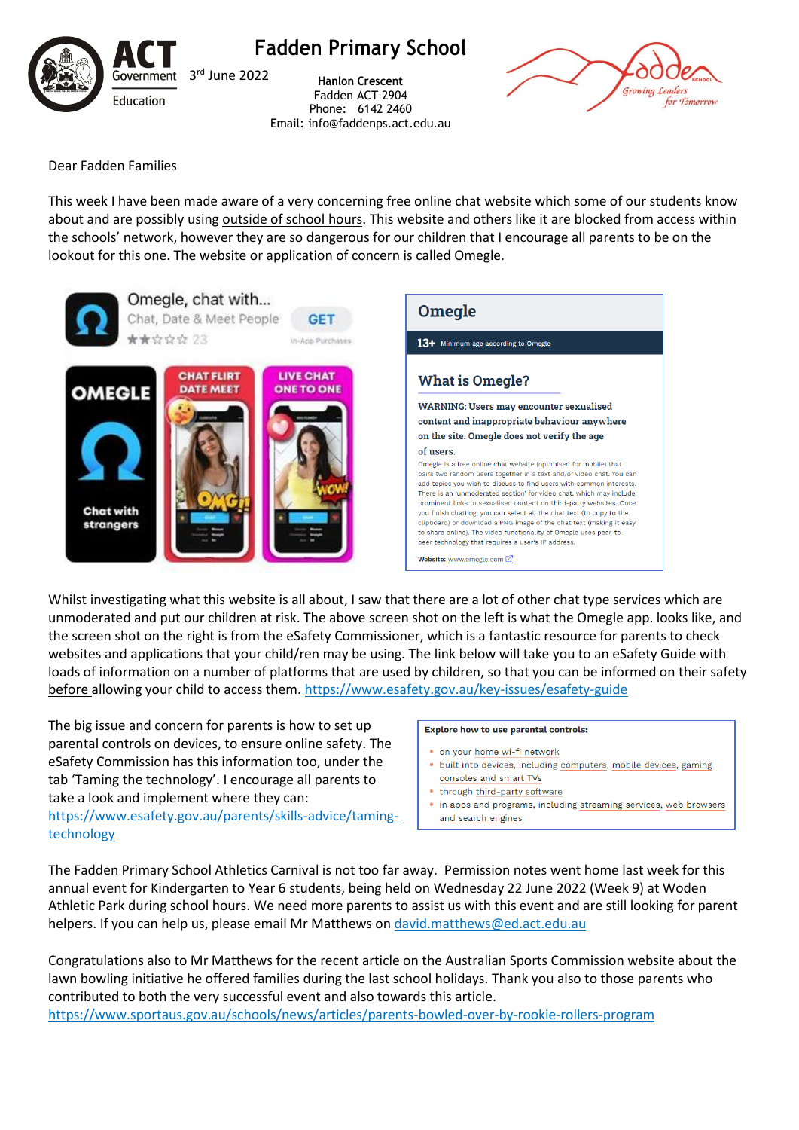

**Fadden Primary School**

**Hanlon Crescent** Fadden ACT 2904 Phone: 6142 2460 Email: info@faddenps.act.edu.au



Dear Fadden Families

This week I have been made aware of a very concerning free online chat website which some of our students know about and are possibly using outside of school hours. This website and others like it are blocked from access within the schools' network, however they are so dangerous for our children that I encourage all parents to be on the lookout for this one. The website or application of concern is called Omegle.



Whilst investigating what this website is all about, I saw that there are a lot of other chat type services which are unmoderated and put our children at risk. The above screen shot on the left is what the Omegle app. looks like, and the screen shot on the right is from the eSafety Commissioner, which is a fantastic resource for parents to check websites and applications that your child/ren may be using. The link below will take you to an eSafety Guide with loads of information on a number of platforms that are used by children, so that you can be informed on their safety before allowing your child to access them. <https://www.esafety.gov.au/key-issues/esafety-guide>

The big issue and concern for parents is how to set up parental controls on devices, to ensure online safety. The eSafety Commission has this information too, under the tab 'Taming the technology'. I encourage all parents to take a look and implement where they can:

[https://www.esafety.gov.au/parents/skills-advice/taming](https://www.esafety.gov.au/parents/skills-advice/taming-technology)[technology](https://www.esafety.gov.au/parents/skills-advice/taming-technology)

## **Explore how to use parental controls:**

- · on your home wi-fi network
- · built into devices, including computers, mobile devices, gaming consoles and smart TVs
- through third-party software
- in apps and programs, including streaming services, web browsers and search engines

The Fadden Primary School Athletics Carnival is not too far away. Permission notes went home last week for this annual event for Kindergarten to Year 6 students, being held on Wednesday 22 June 2022 (Week 9) at Woden Athletic Park during school hours. We need more parents to assist us with this event and are still looking for parent helpers. If you can help us, please email Mr Matthews on [david.matthews@ed.act.edu.au](mailto:david.matthews@ed.act.edu.au)

Congratulations also to Mr Matthews for the recent article on the Australian Sports Commission website about the lawn bowling initiative he offered families during the last school holidays. Thank you also to those parents who contributed to both the very successful event and also towards this article. <https://www.sportaus.gov.au/schools/news/articles/parents-bowled-over-by-rookie-rollers-program>